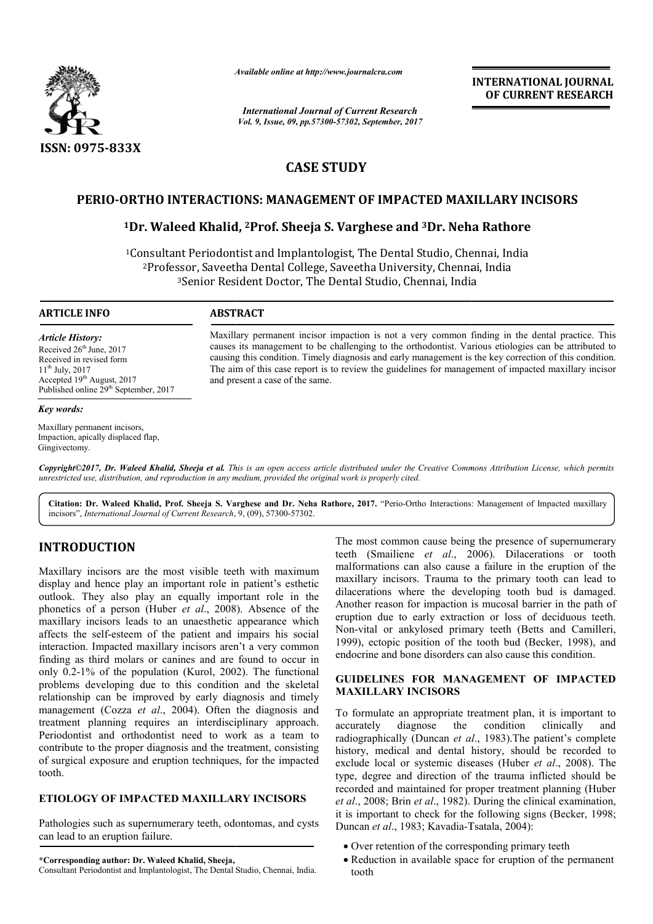

*Available online at http://www.journal http://www.journalcra.com*

*International Journal of Current Research Vol. 9, Issue, 09, pp.57300-57302, September, 2017* **INTERNATIONAL JOURNAL OF CURRENT RESEARCH** 

# **CASE STUDY**

# **PERIO-ORTHO INTERACTIONS: MANAGEMENT OF IMPACTED MAXILLARY INCISORS**

# **ORTHO INTERACTIONS: MANAGEMENT OF IMPACTED MAXILLARY IN**<br><sup>1</sup>Dr. Waleed Khalid, <sup>2</sup>Prof. Sheeja S. Varghese and <sup>3</sup>Dr. Neha Rathore

<sup>1</sup>Consultant Periodontist and Implantologist, The Dental Studio, Chennai, India  ${}^{2}$ Professor, Saveetha Dental College, Saveetha University, Chennai, India<br><sup>3</sup>Senior Resident Doctor, The Dental Studio, Chennai, India ssor, Saveetha Dental College, Saveetha University, Chenna<br><sup>3</sup>Senior Resident Doctor, The Dental Studio, Chennai, India

#### **ARTICLE INFO ABSTRACT**

*Article History:* Received 26<sup>th</sup> June, 2017 Received in revised form  $11^{th}$  July, 2017 Accepted 19<sup>th</sup> August, 2017 Published online 29<sup>th</sup> September, 2017

#### *Key words:*

Maxillary permanent incisors, Impaction, apically displaced flap, Gingivectomy.

Maxillary permanent incisor impaction is not a very common finding in the dental practice. This causes its management to be challenging to the orthodontist. Various etiologies can be attributed to causing this condition. Timely diagnosis and early management is the key correction of this condition. The aim of this case report is to review the guidelines for management of impacted maxillary incisor and present a case of the same. Maxillary permanent incisor impaction is not a very common finding in the dental practice. This causes its management to be challenging to the orthodontist. Various etiologies can be attributed to causing this condition. T

*Copyright©2017, Dr. Waleed Khalid, Sheeja et al. This is an open access article distributed under the Creative Commons Att Attribution License, which permits unrestricted use, distribution, and reproduction in any medium, provided the original work is properly cited.*

Citation: Dr. Waleed Khalid, Prof. Sheeja S. Varghese and Dr. Neha Rathore, 2017. "Perio-Ortho Interactions: Management of Impacted maxillary incisors", *International Journal of Current Research*, 9, (09), 57300-57302.

# **INTRODUCTION**

Maxillary incisors are the most visible teeth with maximum display and hence play an important role in patient's esthetic outlook. They also play an equally important role in the phonetics of a person (Huber *et al.*, 2008). Absence of the maxillary incisors leads to an unaesthetic appearance which affects the self-esteem of the patient and impairs his social interaction. Impacted maxillary incisors aren't a very common finding as third molars or canines and are found to occur in only 0.2-1% of the population (Kurol, 2002 , 2002). The functional problems developing due to this condition and the skeletal relationship can be improved by early diagnosis and timely management (Cozza *et al*., 2004). Often the diagnosis and treatment planning requires an interdisciplinary approach. Periodontist and orthodontist need to work as a team to contribute to the proper diagnosis and the treatment, consisting of surgical exposure and eruption techniques, for the impacted tooth. oblems developing due to this condition and the skeleta<br>ationship can be improved by early diagnosis and timely<br>anagement (Cozza *et al.*, 2004). Often the diagnosis and<br>atment planning requires an interdisciplinary approa

# **ETIOLOGY OF IMPACTED MAXILLARY INCISORS**

Pathologies such as supernumerary teeth, odontomas, and cysts can lead to an eruption failure.

**\*Corresponding author: Dr. Waleed Khalid, Sheeja,**

Consultant Periodontist and Implantologist, The Dental Studio, Chennai, India

The most common cause being the presence of supernumerary teeth (Smailiene et al., 2006). Dilacerations or tooth malformations can also cause a failure in the eruption of the maxillary incisors. Trauma to the primary tooth can lead to dilacerations where the developing tooth bud is damaged. Another reason for impaction is mucosal barrier in the path of eruption due to early extraction or loss of deciduous teeth. Non-vital or ankylosed primary teeth (Betts and Camilleri, 1999), ectopic position of the tooth bud (Becker, 1998), and endocrine and bone disorders can also cause this condition. between the veloping tooth can lead to llary incisors. Trauma to the primary tooth can lead to erations where the developing tooth bud is damaged. Her reason for impaction is mucosal barrier in the path of ion due to early **INTERNATIONAL JOURNAL**<br> **OF CURRENT RESEARCH**<br> **OF CURRENT RESEARCH**<br> **OF CURRENT RESEARCH**<br> **OF CURRENT RESEARCH**<br> **OF CURRENT RESEARCH**<br> **OF ACTED MAXILLARY INCISORS**<br> **OF ACTED MAXILLARY INCISORS**<br> **Condition and ACTE** 

## **GUIDELINES FOR MANAGE MANAGEMENT OF IMPACTED MAXILLARY INCISORS**

To formulate an appropriate treatment plan, it is important to accurately diagnose the condition clinically and To formulate an appropriate treatment plan, it is important to accurately diagnose the condition clinically and radiographically (Duncan *et al.*, 1983).The patient's complete history, medical and dental history, should be recorded to exclude local or systemic diseases (Huber *et al.*, 2008). The type, degree and direction of the trauma inflicted should be type, degree and direction of the trauma inflicted should be<br>recorded and maintained for proper treatment planning (Huber *et al*., 2008; Brin *et al*., 1982). During the clinical examination, it is important to check for the following signs (Becker, 1998; Duncan *et al*., 1983; Kavadia-Tsatala Tsatala, 2004):

- Over retention of the corresponding primary teeth
- Reduction in available space for eruption of the permanent tooth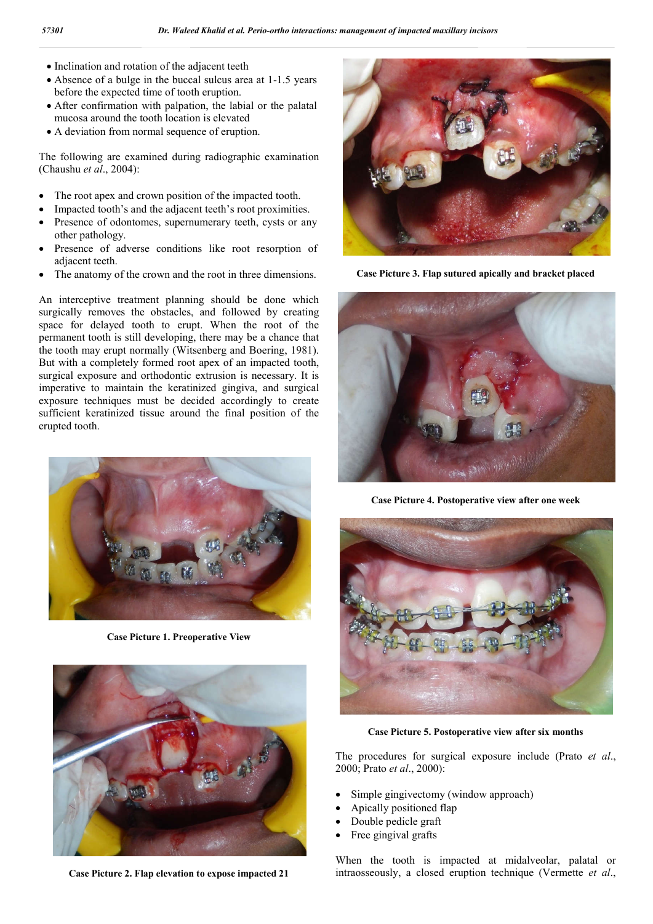- Inclination and rotation of the adjacent teeth
- Absence of a bulge in the buccal sulcus area at 1-1.5 years before the expected time of tooth eruption.
- After confirmation with palpation, the labial or the palatal mucosa around the tooth location is elevated
- A deviation from normal sequence of eruption.

The following are examined during radiographic examination (Chaushu *et al*., 2004):

- The root apex and crown position of the impacted tooth.
- Impacted tooth's and the adjacent teeth's root proximities.
- Presence of odontomes, supernumerary teeth, cysts or any other pathology.
- Presence of adverse conditions like root resorption of adjacent teeth.
- The anatomy of the crown and the root in three dimensions.

An interceptive treatment planning should be done which surgically removes the obstacles, and followed by creating space for delayed tooth to erupt. When the root of the permanent tooth is still developing, there may be a chance that the tooth may erupt normally (Witsenberg and Boering, 1981). But with a completely formed root apex of an impacted tooth, surgical exposure and orthodontic extrusion is necessary. It is imperative to maintain the keratinized gingiva, and surgical exposure techniques must be decided accordingly to create sufficient keratinized tissue around the final position of the erupted tooth.



**Case Picture 1. Preoperative View**



**Case Picture 2. Flap elevation to expose impacted 21**



**Case Picture 3. Flap sutured apically and bracket placed**



**Case Picture 4. Postoperative view after one week**



**Case Picture 5. Postoperative view after six months**

The procedures for surgical exposure include (Prato *et al*., 2000; Prato *et al*., 2000):

- Simple gingivectomy (window approach)
- Apically positioned flap
- Double pedicle graft
- Free gingival grafts

When the tooth is impacted at midalveolar, palatal or intraosseously, a closed eruption technique (Vermette *et al*.,